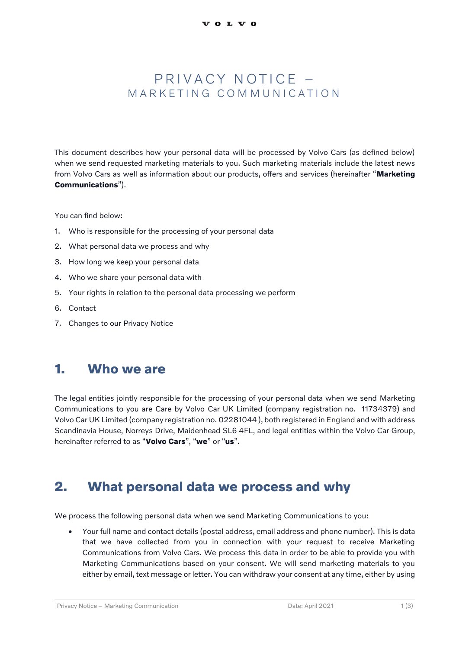#### PRIVACY NOTICE -M A R K F T I N G C O M M U N I C A T I O N

This document describes how your personal data will be processed by Volvo Cars (as defined below) when we send requested marketing materials to you. Such marketing materials include the latest news from Volvo Cars as well as information about our products, offers and services (hereinafter "**Marketing Communications**").

You can find below:

- 1. Who is responsible for the processing of your personal data
- 2. What personal data we process and why
- 3. How long we keep your personal data
- 4. Who we share your personal data with
- 5. Your rights in relation to the personal data processing we perform
- 6. Contact
- 7. Changes to our Privacy Notice

#### **1. Who we are**

The legal entities jointly responsible for the processing of your personal data when we send Marketing Communications to you are Care by Volvo Car UK Limited (company registration no. 11734379) and Volvo Car UK Limited (company registration no. 02281044 ), both registered in England and with address Scandinavia House, Norreys Drive, Maidenhead SL6 4FL, and legal entities within the Volvo Car Group, hereinafter referred to as "**Volvo Cars**", "**we**" or "**us**".

#### **2. What personal data we process and why**

We process the following personal data when we send Marketing Communications to you:

• Your full name and contact details (postal address, email address and phone number). This is data that we have collected from you in connection with your request to receive Marketing Communications from Volvo Cars. We process this data in order to be able to provide you with Marketing Communications based on your consent. We will send marketing materials to you either by email, text message or letter. You can withdraw your consent at any time, either by using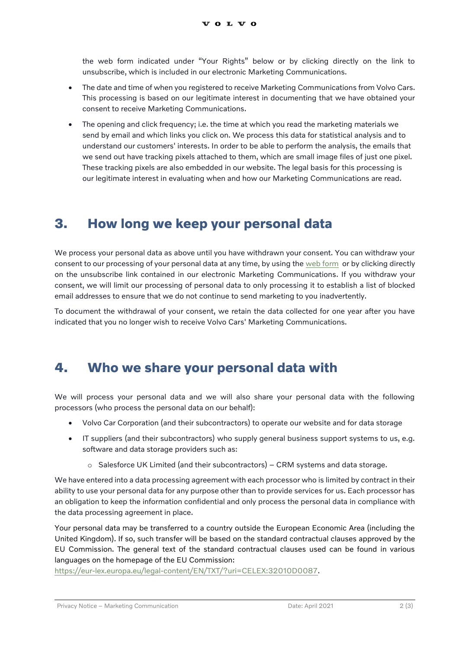the web form indicated under "Your Rights" below or by clicking directly on the link to unsubscribe, which is included in our electronic Marketing Communications.

- The date and time of when you registered to receive Marketing Communications from Volvo Cars. This processing is based on our legitimate interest in documenting that we have obtained your consent to receive Marketing Communications.
- The opening and click frequency; i.e. the time at which you read the marketing materials we send by email and which links you click on. We process this data for statistical analysis and to understand our customers' interests. In order to be able to perform the analysis, the emails that we send out have tracking pixels attached to them, which are small image files of just one pixel. These tracking pixels are also embedded in our website. The legal basis for this processing is our legitimate interest in evaluating when and how our Marketing Communications are read.

## **3. How long we keep your personal data**

We process your personal data as above until you have withdrawn your consent. You can withdraw your consent to our processing of your personal data at any time, by using the [web form](https://www.volvocars.com/uk/subject-rights-request) or by clicking directly on the unsubscribe link contained in our electronic Marketing Communications. If you withdraw your consent, we will limit our processing of personal data to only processing it to establish a list of blocked email addresses to ensure that we do not continue to send marketing to you inadvertently.

To document the withdrawal of your consent, we retain the data collected for one year after you have indicated that you no longer wish to receive Volvo Cars' Marketing Communications.

## **4. Who we share your personal data with**

We will process your personal data and we will also share your personal data with the following processors (who process the personal data on our behalf):

- Volvo Car Corporation (and their subcontractors) to operate our website and for data storage
- IT suppliers (and their subcontractors) who supply general business support systems to us, e.g. software and data storage providers such as:
	- $\circ$  Salesforce UK Limited (and their subcontractors) CRM systems and data storage.

We have entered into a data processing agreement with each processor who is limited by contract in their ability to use your personal data for any purpose other than to provide services for us. Each processor has an obligation to keep the information confidential and only process the personal data in compliance with the data processing agreement in place.

Your personal data may be transferred to a country outside the European Economic Area (including the United Kingdom). If so, such transfer will be based on the standard contractual clauses approved by the EU Commission. The general text of the standard contractual clauses used can be found in various languages on the homepage of the EU Commission:

[https://eur-lex.europa.eu/legal-content/EN/TXT/?uri=CELEX:32010D0087.](https://eur-lex.europa.eu/legal-content/EN/TXT/?uri=CELEX:32010D0087)